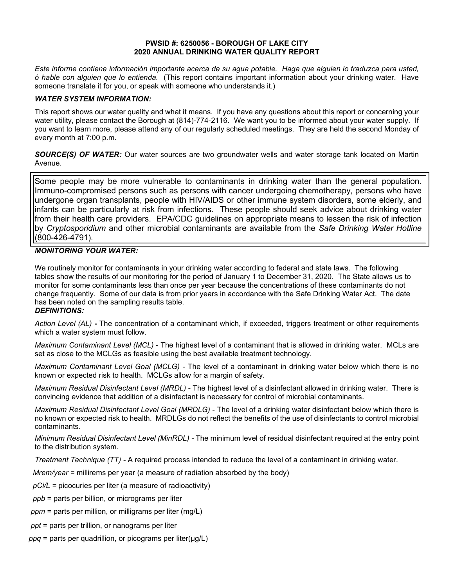#### **PWSID #: 6250056 - BOROUGH OF LAKE CITY 2020 ANNUAL DRINKING WATER QUALITY REPORT**

*Este informe contiene información importante acerca de su agua potable. Haga que alguien lo traduzca para usted, ó hable con alguien que lo entienda.* (This report contains important information about your drinking water. Have someone translate it for you, or speak with someone who understands it.)

# *WATER SYSTEM INFORMATION:*

This report shows our water quality and what it means. If you have any questions about this report or concerning your water utility, please contact the Borough at (814)-774-2116.We want you to be informed about your water supply. If you want to learn more, please attend any of our regularly scheduled meetings. They are held the second Monday of every month at 7:00 p.m.

*SOURCE(S) OF WATER:* Our water sources are two groundwater wells and water storage tank located on Martin Avenue.

Some people may be more vulnerable to contaminants in drinking water than the general population. Immuno-compromised persons such as persons with cancer undergoing chemotherapy, persons who have undergone organ transplants, people with HIV/AIDS or other immune system disorders, some elderly, and infants can be particularly at risk from infections. These people should seek advice about drinking water from their health care providers. EPA/CDC guidelines on appropriate means to lessen the risk of infection by *Cryptosporidium* and other microbial contaminants are available from the *Safe Drinking Water Hotline* (800-426-4791).

# *MONITORING YOUR WATER:*

We routinely monitor for contaminants in your drinking water according to federal and state laws. The following tables show the results of our monitoring for the period of January 1 to December 31, 2020. The State allows us to monitor for some contaminants less than once per year because the concentrations of these contaminants do not change frequently. Some of our data is from prior years in accordance with the Safe Drinking Water Act. The date has been noted on the sampling results table.

#### *DEFINITIONS:*

*Action Level (AL)* **-** The concentration of a contaminant which, if exceeded, triggers treatment or other requirements which a water system must follow.

*Maximum Contaminant Level (MCL)* - The highest level of a contaminant that is allowed in drinking water. MCLs are set as close to the MCLGs as feasible using the best available treatment technology.

*Maximum Contaminant Level Goal (MCLG)* - The level of a contaminant in drinking water below which there is no known or expected risk to health. MCLGs allow for a margin of safety.

*Maximum Residual Disinfectant Level (MRDL)* - The highest level of a disinfectant allowed in drinking water. There is convincing evidence that addition of a disinfectant is necessary for control of microbial contaminants.

*Maximum Residual Disinfectant Level Goal (MRDLG)* - The level of a drinking water disinfectant below which there is no known or expected risk to health. MRDLGs do not reflect the benefits of the use of disinfectants to control microbial contaminants.

*Minimum Residual Disinfectant Level (MinRDL) -* The minimum level of residual disinfectant required at the entry point to the distribution system.

*Treatment Technique (TT) -* A required process intended to reduce the level of a contaminant in drinking water.

 *Mrem/year =* millirems per year (a measure of radiation absorbed by the body)

 *pCi/L =* picocuries per liter (a measure of radioactivity)

- *ppb* = parts per billion, or micrograms per liter
- *ppm* = parts per million, or milligrams per liter (mg/L)
- *ppt* = parts per trillion, or nanograms per liter
- *ppq* = parts per quadrillion, or picograms per liter(μg/L)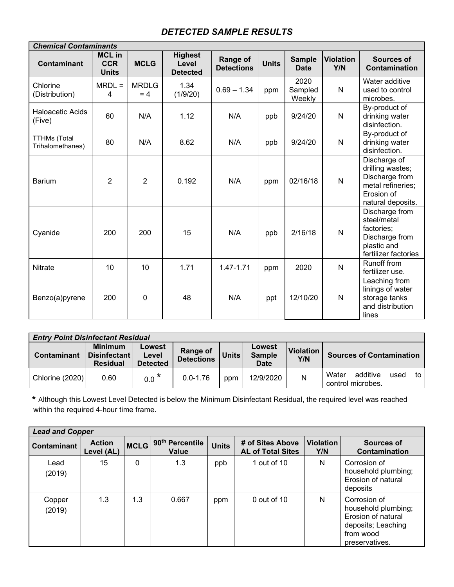# *DETECTED SAMPLE RESULTS*

| <b>Chemical Contaminants</b>            |                                             |                       |                                            |                               |              |                              |                         |                                                                                                            |  |
|-----------------------------------------|---------------------------------------------|-----------------------|--------------------------------------------|-------------------------------|--------------|------------------------------|-------------------------|------------------------------------------------------------------------------------------------------------|--|
| Contaminant                             | <b>MCL in</b><br><b>CCR</b><br><b>Units</b> | <b>MCLG</b>           | <b>Highest</b><br>Level<br><b>Detected</b> | Range of<br><b>Detections</b> | <b>Units</b> | <b>Sample</b><br><b>Date</b> | <b>Violation</b><br>Y/N | <b>Sources of</b><br>Contamination                                                                         |  |
| Chlorine<br>(Distribution)              | $MRDL =$<br>4                               | <b>MRDLG</b><br>$= 4$ | 1.34<br>(1/9/20)                           | $0.69 - 1.34$                 | ppm          | 2020<br>Sampled<br>Weekly    | $\mathsf{N}$            | Water additive<br>used to control<br>microbes.                                                             |  |
| Haloacetic Acids<br>(Five)              | 60                                          | N/A                   | 1.12                                       | N/A                           | ppb          | 9/24/20                      | $\mathsf{N}$            | By-product of<br>drinking water<br>disinfection.                                                           |  |
| <b>TTHMs (Total</b><br>Trihalomethanes) | 80                                          | N/A                   | 8.62                                       | N/A                           | ppb          | 9/24/20                      | $\mathsf{N}$            | By-product of<br>drinking water<br>disinfection.                                                           |  |
| <b>Barium</b>                           | $\overline{2}$                              | 2                     | 0.192                                      | N/A                           | ppm          | 02/16/18                     | $\mathsf{N}$            | Discharge of<br>drilling wastes;<br>Discharge from<br>metal refineries;<br>Erosion of<br>natural deposits. |  |
| Cyanide                                 | 200                                         | 200                   | 15                                         | N/A                           | ppb          | 2/16/18                      | $\mathsf{N}$            | Discharge from<br>steel/metal<br>factories;<br>Discharge from<br>plastic and<br>fertilizer factories       |  |
| <b>Nitrate</b>                          | 10                                          | 10                    | 1.71                                       | 1.47-1.71                     | ppm          | 2020                         | N                       | <b>Runoff from</b><br>fertilizer use.                                                                      |  |
| Benzo(a)pyrene                          | 200                                         | $\mathbf{0}$          | 48                                         | N/A                           | ppt          | 12/10/20                     | $\mathsf{N}$            | Leaching from<br>linings of water<br>storage tanks<br>and distribution<br>lines                            |  |

| <b>Entry Point Disinfectant Residual</b> |                                                          |                                    |                                      |              |                                        |                  |                                                      |  |  |
|------------------------------------------|----------------------------------------------------------|------------------------------------|--------------------------------------|--------------|----------------------------------------|------------------|------------------------------------------------------|--|--|
| Contaminant                              | <b>Minimum</b><br><b>Disinfectant</b><br><b>Residual</b> | Lowest<br>Level<br><b>Detected</b> | <b>Range of</b><br><b>Detections</b> | <b>Units</b> | Lowest<br><b>Sample</b><br><b>Date</b> | Violation<br>Y/N | <b>Sources of Contamination</b>                      |  |  |
| Chlorine (2020)                          | 0.60                                                     | $0.0$ $*$                          | $0.0 - 1.76$                         | ppm          | 12/9/2020                              | N                | additive<br>Water<br>to<br>used<br>control microbes. |  |  |

 **\*** Although this Lowest Level Detected is below the Minimum Disinfectant Residual, the required level was reached within the required 4-hour time frame.

| <b>Lead and Copper</b> |                             |             |                                             |              |                                              |                         |                                                                                                                |  |  |
|------------------------|-----------------------------|-------------|---------------------------------------------|--------------|----------------------------------------------|-------------------------|----------------------------------------------------------------------------------------------------------------|--|--|
| Contaminant            | <b>Action</b><br>Level (AL) | <b>MCLG</b> | 90 <sup>th</sup> Percentile<br><b>Value</b> | <b>Units</b> | # of Sites Above<br><b>AL of Total Sites</b> | <b>Violation</b><br>Y/N | Sources of<br>Contamination                                                                                    |  |  |
| Lead<br>(2019)         | 15                          | 0           | 1.3                                         | ppb          | 1 out of 10                                  | N                       | Corrosion of<br>household plumbing;<br>Erosion of natural<br>deposits                                          |  |  |
| Copper<br>(2019)       | 1.3                         | 1.3         | 0.667                                       | ppm          | $0$ out of 10                                | N                       | Corrosion of<br>household plumbing;<br>Erosion of natural<br>deposits; Leaching<br>from wood<br>preservatives. |  |  |